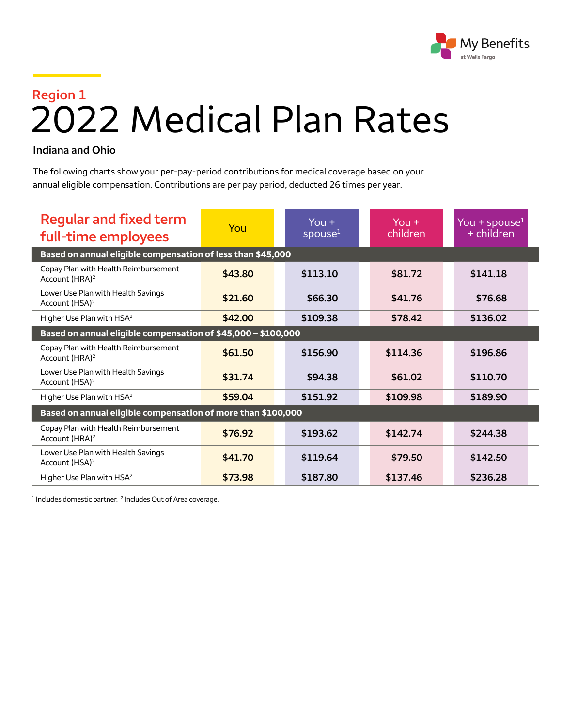

## **Region 1** 2022 Medical Plan Rates

## **Indiana and Ohio**

The following charts show your per-pay-period contributions for medical coverage based on your annual eligible compensation. Contributions are per pay period, deducted 26 times per year.

| <b>Regular and fixed term</b><br>full-time employees               | You     | You $+$<br>spouse <sup>1</sup> | $You +$<br>children | You + spouse $1$<br>+ children |  |  |  |
|--------------------------------------------------------------------|---------|--------------------------------|---------------------|--------------------------------|--|--|--|
| Based on annual eligible compensation of less than \$45,000        |         |                                |                     |                                |  |  |  |
| Copay Plan with Health Reimbursement<br>Account (HRA) <sup>2</sup> | \$43.80 | \$113.10                       | \$81.72             | \$141.18                       |  |  |  |
| Lower Use Plan with Health Savings<br>Account (HSA) <sup>2</sup>   | \$21.60 | \$66.30                        | \$41.76             | \$76.68                        |  |  |  |
| Higher Use Plan with HSA <sup>2</sup>                              | \$42.00 | \$109.38                       | \$78.42             | \$136.02                       |  |  |  |
| Based on annual eligible compensation of \$45,000 - \$100,000      |         |                                |                     |                                |  |  |  |
| Copay Plan with Health Reimbursement<br>Account (HRA) <sup>2</sup> | \$61.50 | \$156.90                       | \$114.36            | \$196.86                       |  |  |  |
| Lower Use Plan with Health Savings<br>Account (HSA) <sup>2</sup>   | \$31.74 | \$94.38                        | \$61.02             | \$110.70                       |  |  |  |
| Higher Use Plan with HSA <sup>2</sup>                              | \$59.04 | \$151.92                       | \$109.98            | \$189.90                       |  |  |  |
| Based on annual eligible compensation of more than \$100,000       |         |                                |                     |                                |  |  |  |
| Copay Plan with Health Reimbursement<br>Account (HRA) <sup>2</sup> | \$76.92 | \$193.62                       | \$142.74            | \$244.38                       |  |  |  |
| Lower Use Plan with Health Savings<br>Account (HSA) <sup>2</sup>   | \$41.70 | \$119.64                       | \$79.50             | \$142.50                       |  |  |  |
| Higher Use Plan with HSA <sup>2</sup>                              | \$73.98 | \$187.80                       | \$137.46            | \$236.28                       |  |  |  |

<sup>1</sup> Includes domestic partner. <sup>2</sup> Includes Out of Area coverage.